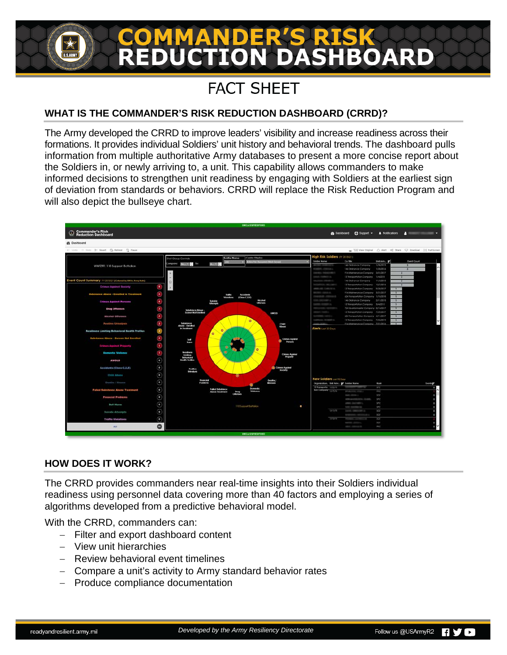## **DASHBOARD** TON

## **FACT SHFFT**

## **WHAT IS THE COMMANDER'S RISK REDUCTION DASHBOARD (CRRD)?**

The Army developed the CRRD to improve leaders' visibility and increase readiness across their formations. It provides individual Soldiers' unit history and behavioral trends. The dashboard pulls information from multiple authoritative Army databases to present a more concise report about the Soldiers in, or newly arriving to, a unit. This capability allows commanders to make informed decisions to strengthen unit readiness by engaging with Soldiers at the earliest sign of deviation from standards or behaviors. CRRD will replace the Risk Reduction Program and will also depict the bullseye chart.



## **HOW DOES IT WORK?**

The CRRD provides commanders near real-time insights into their Soldiers individual readiness using personnel data covering more than 40 factors and employing a series of algorithms developed from a predictive behavioral model.

With the CRRD, commanders can:

- − Filter and export dashboard content
- − View unit hierarchies
- − Review behavioral event timelines
- − Compare a unit's activity to Army standard behavior rates
- − Produce compliance documentation